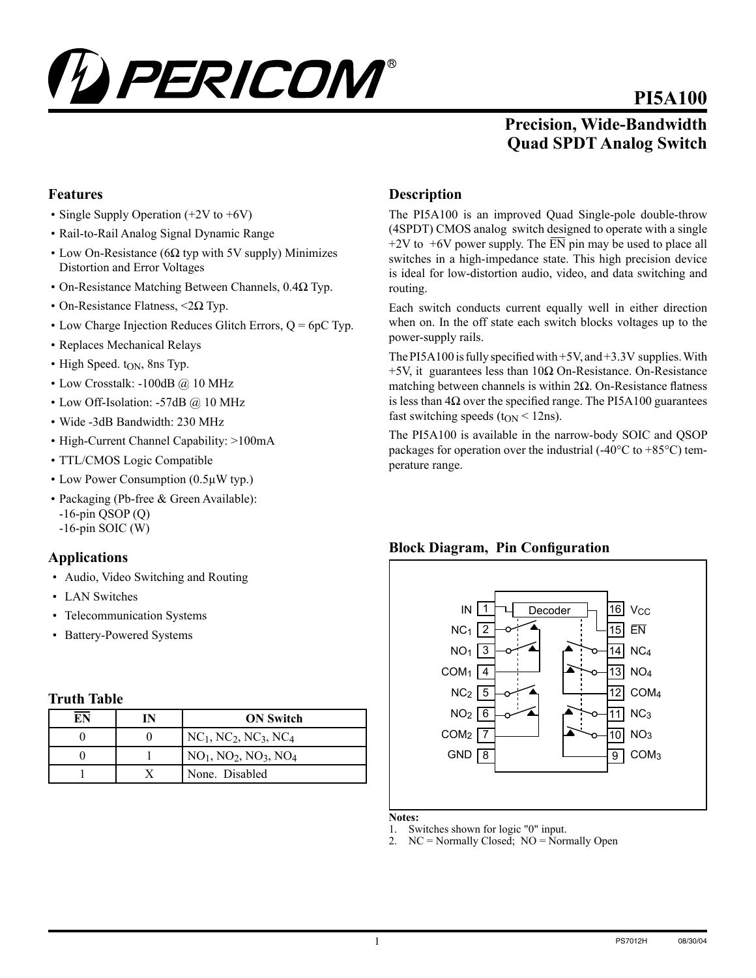

# **PI5A100**

**Precision, Wide-Bandwidth Quad SPDT Analog Switch**

### **Features**

- Single Supply Operation (+2V to +6V)
- Rail-to-Rail Analog Signal Dynamic Range
- Low On-Resistance ( $6\Omega$  typ with 5V supply) Minimizes Distortion and Error Voltages
- On-Resistance Matching Between Channels, 0.4Ω Typ.
- On-Resistance Flatness,  $\langle 2\Omega \text{ Type} \rangle$ .
- Low Charge Injection Reduces Glitch Errors,  $Q = 6pC$  Typ.
- Replaces Mechanical Relays
- High Speed.  $t_{ON}$ , 8ns Typ.
- Low Crosstalk: -100dB @ 10 MHz
- Low Off-Isolation: -57dB @ 10 MHz
- Wide -3dB Bandwidth: 230 MHz
- High-Current Channel Capability: >100mA
- TTL/CMOS Logic Compatible
- Low Power Consumption (0.5µW typ.)
- Packaging (Pb-free & Green Available):  $-16$ -pin QSOP (Q) -16-pin SOIC (W)

# **Applications**

- Audio, Video Switching and Routing
- LAN Switches
- Telecommunication Systems
- Battery-Powered Systems

#### **Truth Table**

| ЕN | <b>ON Switch</b>                                            |
|----|-------------------------------------------------------------|
|    | $NC1$ , NC <sub>2</sub> , NC <sub>3</sub> , NC <sub>4</sub> |
|    | $NO1$ , NO <sub>2</sub> , NO <sub>3</sub> , NO <sub>4</sub> |
|    | None. Disabled                                              |

#### **Description**

The PI5A100 is an improved Quad Single-pole double-throw (4SPDT) CMOS analog switch designed to operate with a single  $+2V$  to  $+6V$  power supply. The  $\overline{EN}$  pin may be used to place all switches in a high-impedance state. This high precision device is ideal for low-distortion audio, video, and data switching and routing.

Each switch conducts current equally well in either direction when on. In the off state each switch blocks voltages up to the power-supply rails.

The PI5A100 is fully specified with +5V, and +3.3V supplies. With  $+5V$ , it guarantees less than  $10\Omega$  On-Resistance. On-Resistance matching between channels is within 2Ω. On-Resistance flatness is less than  $4\Omega$  over the specified range. The PI5A100 guarantees fast switching speeds ( $t_{ON}$  < 12ns).

The PI5A100 is available in the narrow-body SOIC and QSOP packages for operation over the industrial  $(-40^{\circ}C \text{ to } +85^{\circ}C)$  temperature range.

#### **Block Diagram, Pin Configuration** 1 NC<sub>1</sub> 2 NO1 <mark>\_3</mark>  $COM<sub>1</sub>$  4  $NC<sub>2</sub>$  5 6 NO2 7 COM2 8 GND 16 15 14 13 12 11 10 9 **V<sub>CC</sub>** EN NC4 NO4 COM4 N<sub>C3</sub> NO3 COM3 IN Decoder

**Notes:**

- 1. Switches shown for logic "0" input.
- $NC =$  Normally Closed;  $NO =$  Normally Open

#### 1 PS7012H 08/30/04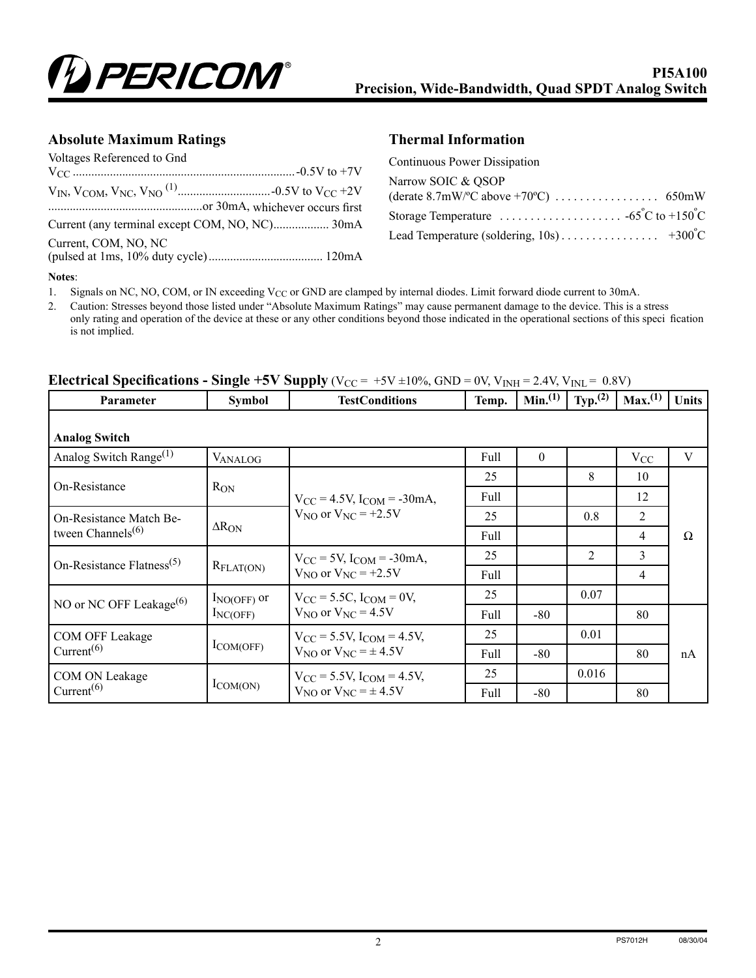

#### **Absolute Maximum Ratings Thermal Information**

| Voltages Referenced to Gnd |  |
|----------------------------|--|
|                            |  |
|                            |  |
| Current, COM, NO, NC       |  |

| Continuous Power Dissipation                                                                                                         |  |
|--------------------------------------------------------------------------------------------------------------------------------------|--|
| Narrow SOIC & QSOP                                                                                                                   |  |
|                                                                                                                                      |  |
| Storage Temperature $\ldots \ldots \ldots \ldots \ldots \ldots \ldots \cdots \cdots \cdots$ 65 <sup>°</sup> C to +150 <sup>°</sup> C |  |
|                                                                                                                                      |  |

#### **Notes**:

1. Signals on NC, NO, COM, or IN exceeding V<sub>CC</sub> or GND are clamped by internal diodes. Limit forward diode current to 30mA.

2. Caution: Stresses beyond those listed under "Absolute Maximum Ratings" may cause permanent damage to the device. This is a stress only rating and operation of the device at these or any other conditions beyond those indicated in the operational sections of this speci fication is not implied.

| <b>Parameter</b>                                 | <b>Symbol</b>                   | <b>TestConditions</b>                                                         | Temp. | Min. <sup>(1)</sup> | $Typ^{(2)}$    | Max. <sup>(1)</sup> | <b>Units</b> |
|--------------------------------------------------|---------------------------------|-------------------------------------------------------------------------------|-------|---------------------|----------------|---------------------|--------------|
| <b>Analog Switch</b>                             |                                 |                                                                               |       |                     |                |                     |              |
| Analog Switch Range <sup>(1)</sup>               | <b>VANALOG</b>                  |                                                                               | Full  | $\theta$            |                | $V_{CC}$            | V            |
| On-Resistance                                    |                                 | $V_{\rm CC} = 4.5V$ , $I_{\rm COM} = -30 \text{mA}$ ,                         | 25    |                     | 8              | 10                  |              |
|                                                  | $R_{ON}$                        |                                                                               | Full  |                     |                | 12                  |              |
| On-Resistance Match Be-                          |                                 | $V_{NO}$ or $V_{NC}$ = +2.5V                                                  | 25    |                     | 0.8            | $\overline{2}$      |              |
| tween $Channels(6)$                              | $\Delta R_{ON}$                 |                                                                               | Full  |                     |                | 4                   | Ω            |
| On-Resistance Flatness <sup>(5)</sup>            | $R_{\text{FLAT(ON)}}$           | $V_{CC}$ = 5V, $I_{COM}$ = -30mA,<br>$V_{NO}$ or $V_{NC}$ = +2.5V             | 25    |                     | $\overline{c}$ | 3                   |              |
|                                                  |                                 |                                                                               | Full  |                     |                | $\overline{4}$      |              |
| NO or NC OFF Leakage <sup>(6)</sup>              | $I_{NO(OFF)}$ or<br>$I_{NCOFF}$ | $V_{CC} = 5.5C$ , $I_{COM} = 0V$ ,<br>$V_{NO}$ or $V_{NC} = 4.5V$             | 25    |                     | 0.07           |                     |              |
|                                                  |                                 |                                                                               | Full  | $-80$               |                | 80                  |              |
| <b>COM OFF Leakage</b><br>Current <sup>(6)</sup> | $I_{COM(OFF)}$                  | $V_{\rm CC}$ = 5.5V, $I_{\rm COM}$ = 4.5V,<br>$V_{NO}$ or $V_{NC} = \pm 4.5V$ | 25    |                     | 0.01           |                     |              |
|                                                  |                                 |                                                                               | Full  | $-80$               |                | 80                  | nA           |
| COM ON Leakage<br>Current <sup>(6)</sup>         | $I_{COM(ON)}$                   | $V_{\rm CC}$ = 5.5V, $I_{\rm COM}$ = 4.5V,<br>$V_{NO}$ or $V_{NC} = \pm 4.5V$ | 25    |                     | 0.016          |                     |              |
|                                                  |                                 |                                                                               | Full  | $-80$               |                | 80                  |              |

# **Electrical Specifications - Single +5V Supply** ( $V_{CC}$  =  $+5V \pm 10\%$ , GND = 0V,  $V_{INH}$  = 2.4V,  $V_{INL}$  = 0.8V)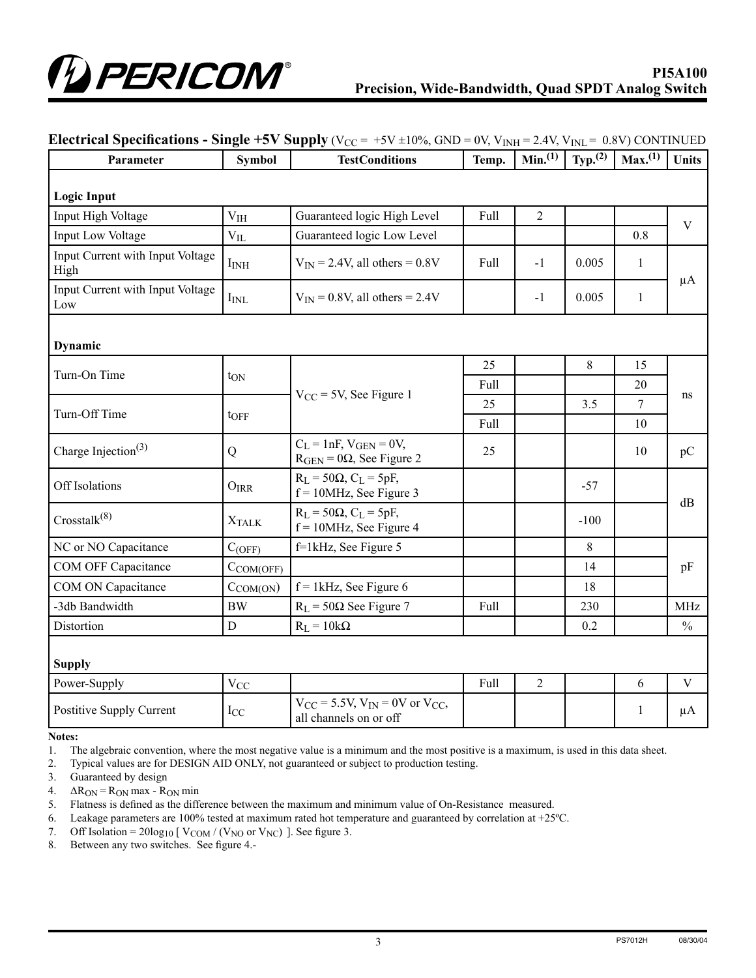

| Parameter                                | <b>Symbol</b>    | <b>TestConditions</b>                                                  |      | Min <sub>1</sub> (1) | Typ. $(2)$ | Max. <sup>(1)</sup> | <b>Units</b>  |
|------------------------------------------|------------------|------------------------------------------------------------------------|------|----------------------|------------|---------------------|---------------|
| <b>Logic Input</b>                       |                  |                                                                        |      |                      |            |                     |               |
| Input High Voltage                       | V <sub>IH</sub>  | Guaranteed logic High Level                                            | Full | $\overline{2}$       |            |                     |               |
| Input Low Voltage                        | $V_{IL}$         | Guaranteed logic Low Level                                             |      |                      |            | 0.8                 | $\mathbf V$   |
| Input Current with Input Voltage<br>High | I <sub>INH</sub> | $V_{IN}$ = 2.4V, all others = 0.8V                                     | Full | $-1$                 | 0.005      | $\mathbf{1}$        |               |
| Input Current with Input Voltage<br>Low  | $I_{\rm INL}$    | $V_{IN} = 0.8V$ , all others = 2.4V                                    |      | $-1$                 | 0.005      | $\mathbf{1}$        | $\mu A$       |
| Dynamic                                  |                  |                                                                        |      |                      |            |                     |               |
| Turn-On Time                             |                  |                                                                        | 25   |                      | $8\,$      | 15                  |               |
|                                          | t <sub>ON</sub>  | $V_{CC}$ = 5V, See Figure 1                                            | Full |                      |            | 20                  | ns            |
| Turn-Off Time                            |                  |                                                                        | 25   |                      | 3.5        | $\overline{7}$      |               |
|                                          | toff             |                                                                        | Full |                      |            | 10                  |               |
| Charge Injection <sup>(3)</sup>          | Q                | $C_L = 1nF, V_{GEN} = 0V,$<br>$R_{GEN} = 0\Omega$ , See Figure 2       | 25   |                      |            | 10                  | pC            |
| Off Isolations                           | $O_{IRR}$        | $R_L$ = 50 $\Omega$ , $C_L$ = 5pF,<br>$f = 10$ MHz, See Figure 3       |      |                      | $-57$      |                     |               |
| Crosstalk <sup>(8)</sup>                 | <b>XTALK</b>     | $R_L$ = 50 $\Omega$ , $C_L$ = 5pF,<br>$f = 10$ MHz, See Figure 4       |      |                      | $-100$     |                     | dB            |
| NC or NO Capacitance                     | $C_{(OFF)}$      | f=1kHz, See Figure 5                                                   |      |                      | 8          |                     |               |
| COM OFF Capacitance                      | $C_{COM(OFF)}$   |                                                                        |      |                      | 14         |                     | pF            |
| COM ON Capacitance                       | $C_{COM(ON)}$    | $f = 1$ kHz, See Figure 6                                              |      |                      | 18         |                     |               |
| -3db Bandwidth                           | <b>BW</b>        | $R_L$ = 50 $\Omega$ See Figure 7                                       | Full |                      | 230        |                     | <b>MHz</b>    |
| Distortion                               | D                | $R_L = 10k\Omega$                                                      |      |                      | 0.2        |                     | $\frac{0}{0}$ |
| <b>Supply</b>                            |                  |                                                                        |      |                      |            |                     |               |
| Power-Supply                             | $\rm V_{CC}$     |                                                                        | Full | $\overline{2}$       |            | 6                   | $\mathbf V$   |
| Postitive Supply Current                 | $_{\rm{ICC}}$    | $V_{CC}$ = 5.5V, $V_{IN}$ = 0V or $V_{CC}$ ,<br>all channels on or off |      |                      |            | $\mathbf{1}$        | $\mu A$       |

#### **Electrical Specifications - Single +5V Supply** ( $V_{CC} = +5V \pm 10\%$ , GND = 0V,  $V_{INH} = 2.4V$ ,  $V_{INL} = 0.8V$ ) CONTINUED

**Notes:**

1. The algebraic convention, where the most negative value is a minimum and the most positive is a maximum, is used in this data sheet.

2. Typical values are for DESIGN AID ONLY, not guaranteed or subject to production testing.

- 3. Guaranteed by design
- 4.  $\Delta R_{ON} = R_{ON}$  max  $R_{ON}$  min

5. Flatness is defined as the difference between the maximum and minimum value of On-Resistance measured.

6. Leakage parameters are 100% tested at maximum rated hot temperature and guaranteed by correlation at +25ºC.

7. Off Isolation =  $20\log_{10}$  [  $V_{COM}/(V_{NO}$  or  $V_{NC})$  ]. See figure 3.

8. Between any two switches. See figure 4.-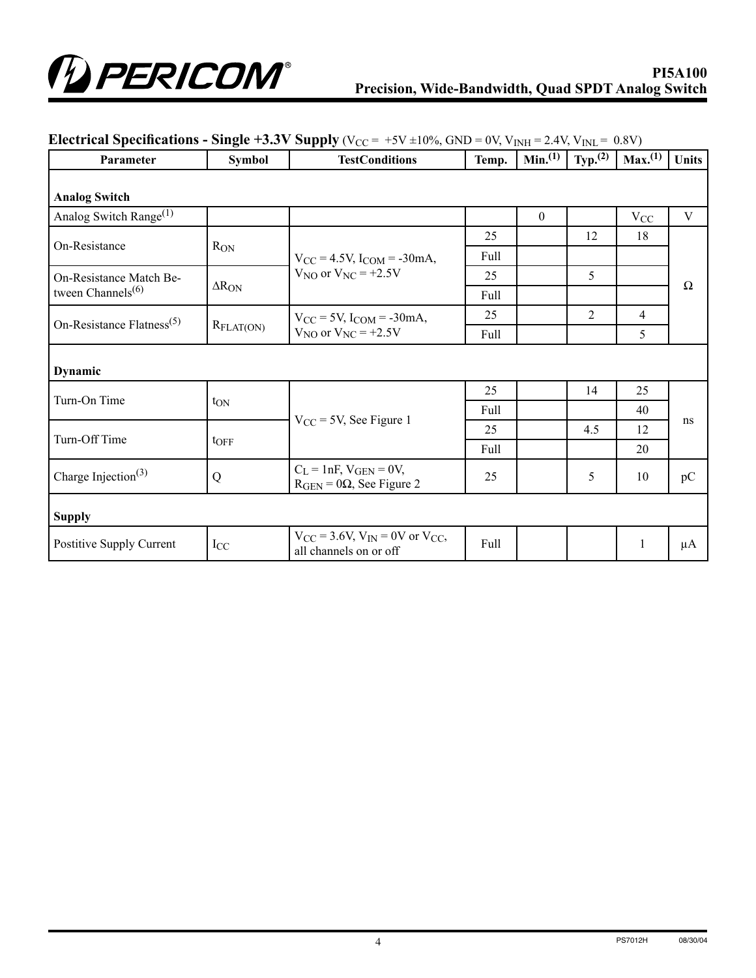

| Parameter                                          | <b>Symbol</b>         | <b>TestConditions</b>                                                  | Temp. | Min. <sup>(1)</sup> | Typ. <sup>(2)</sup> | Max. <sup>(1)</sup> | <b>Units</b> |
|----------------------------------------------------|-----------------------|------------------------------------------------------------------------|-------|---------------------|---------------------|---------------------|--------------|
| <b>Analog Switch</b>                               |                       |                                                                        |       |                     |                     |                     |              |
| Analog Switch Range <sup>(1)</sup>                 |                       |                                                                        |       | $\boldsymbol{0}$    |                     | $V_{CC}$            | V            |
| On-Resistance                                      |                       |                                                                        | 25    |                     | 12                  | 18                  | Ω            |
|                                                    | $R_{ON}$              | $V_{CC} = 4.5V$ , $I_{COM} = -30mA$ ,                                  | Full  |                     |                     |                     |              |
| On-Resistance Match Be-                            |                       | $V_{NO}$ or $V_{NC}$ = +2.5V                                           | 25    |                     | 5                   |                     |              |
| tween Channels <sup>(6)</sup>                      | $\Delta R_{ON}$       |                                                                        | Full  |                     |                     |                     |              |
| On-Resistance Flatness <sup><math>(5)</math></sup> | $R_{\text{FLAT(ON)}}$ | $V_{CC}$ = 5V, $I_{COM}$ = -30mA,<br>$V_{NO}$ or $V_{NC}$ = +2.5V      | 25    |                     | $\overline{c}$      | $\overline{4}$      |              |
|                                                    |                       |                                                                        | Full  |                     |                     | 5                   |              |
| Dynamic                                            |                       |                                                                        |       |                     |                     |                     |              |
| Turn-On Time                                       | t <sub>ON</sub>       | $V_{CC}$ = 5V, See Figure 1                                            | 25    |                     | 14                  | 25                  | ns           |
|                                                    |                       |                                                                        | Full  |                     |                     | 40                  |              |
| Turn-Off Time                                      | toff                  |                                                                        | 25    |                     | 4.5                 | 12                  |              |
|                                                    |                       |                                                                        | Full  |                     |                     | 20                  |              |
| Charge Injection <sup>(3)</sup>                    | Q                     | $C_L = 1nF$ , $V_{GEN} = 0V$ ,<br>$R_{GEN} = 0\Omega$ , See Figure 2   | 25    |                     | 5                   | 10                  | pC           |
| <b>Supply</b>                                      |                       |                                                                        |       |                     |                     |                     |              |
| <b>Postitive Supply Current</b>                    | $I_{CC}$              | $V_{CC}$ = 3.6V, $V_{IN}$ = 0V or $V_{CC}$ ,<br>all channels on or off | Full  |                     |                     | 1                   | μA           |

# **Electrical Specifications - Single +3.3V Supply** ( $V_{CC}$  = +5V  $\pm 10\%$ , GND = 0V,  $V_{INH}$  = 2.4V,  $V_{INL}$  = 0.8V)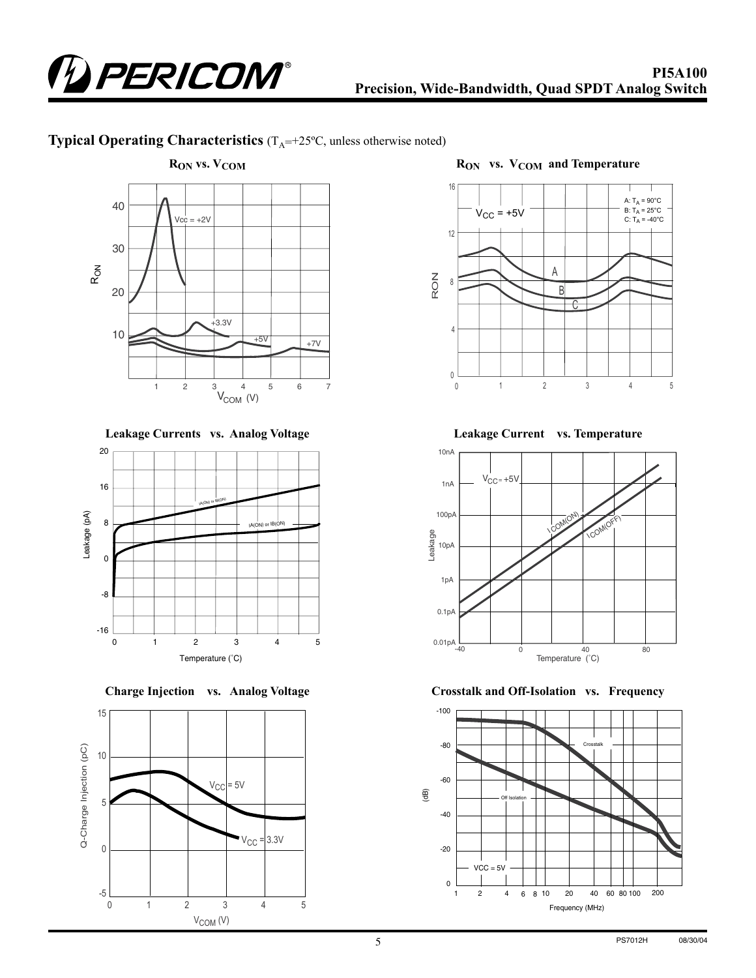

# **Typical Operating Characteristics**  $(T_A = +25^\circ C,$  unless otherwise noted)



**Leakage Currents vs. Analog Voltage**



**Charge Injection vs. Analog Voltage**





**Leakage Current vs. Temperature**



**Crosstalk and Off-Isolation vs. Frequency**

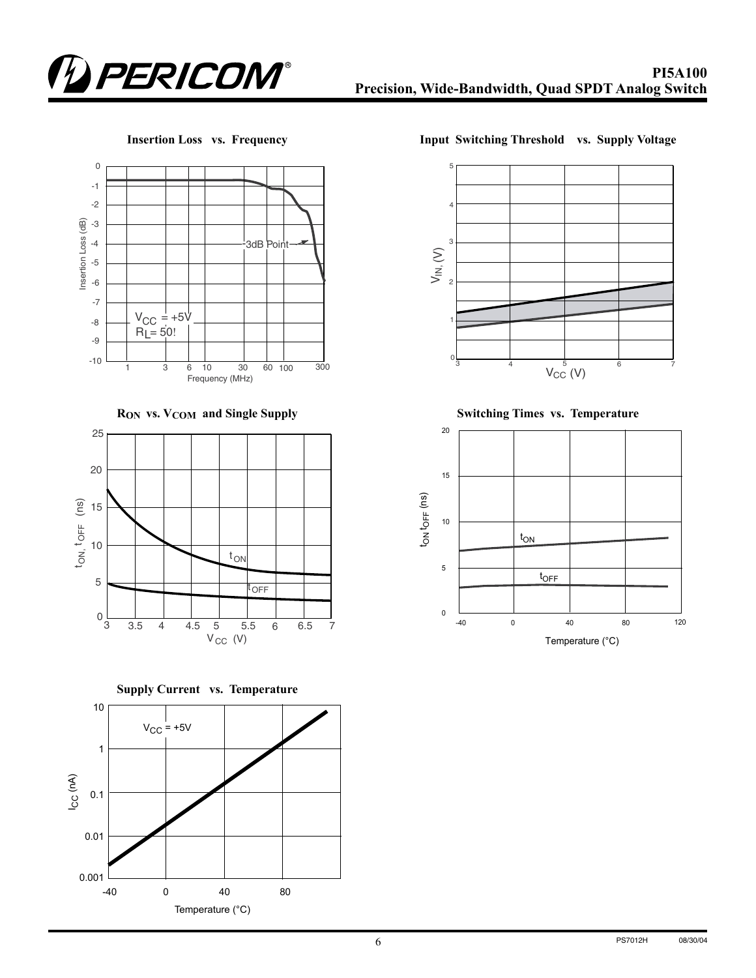







**Insertion Loss vs. Frequency Input Switching Threshold vs. Supply Voltage**



R<sub>ON</sub> vs. V<sub>COM</sub> and Single Supply **Switching Times vs. Temperature** 

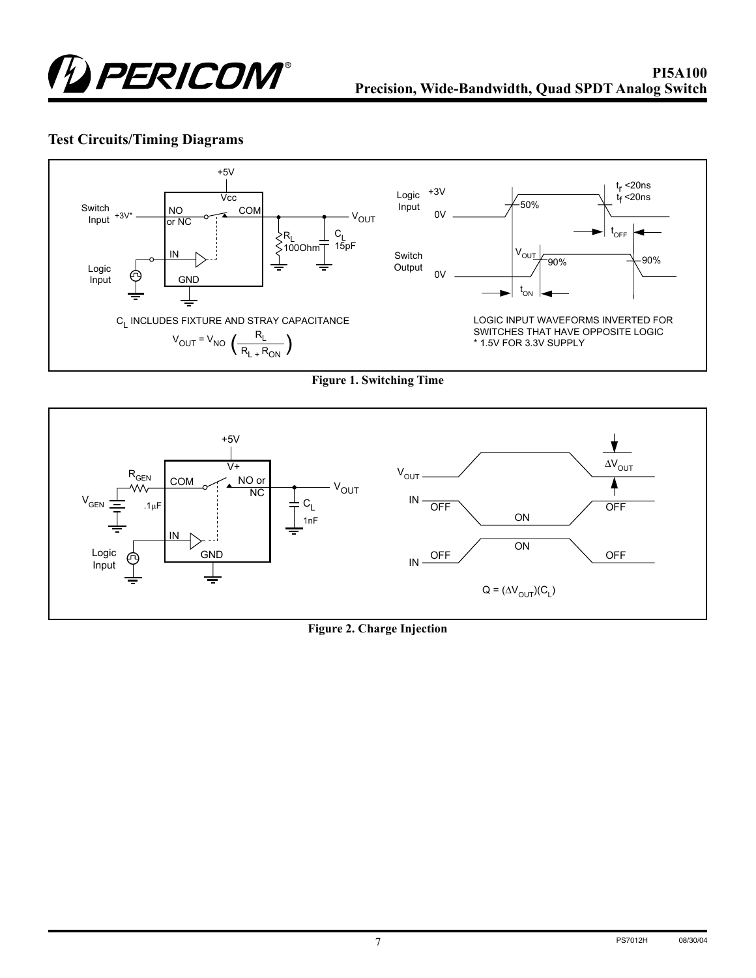

# **Test Circuits/Timing Diagrams**



**Figure 1. Switching Time**



#### **Figure 2. Charge Injection**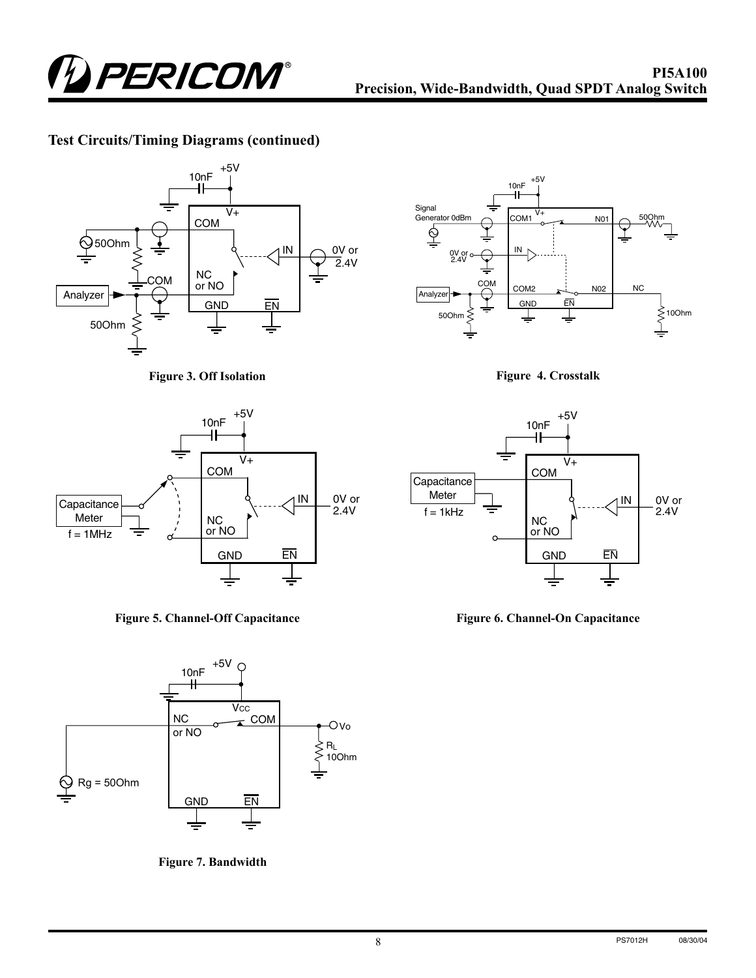

### **Test Circuits/Timing Diagrams (continued)**



**Figure 3. Off Isolation**







**Figure 7. Bandwidth**



**Figure 4. Crosstalk**



**Figure 6. Channel-On Capacitance**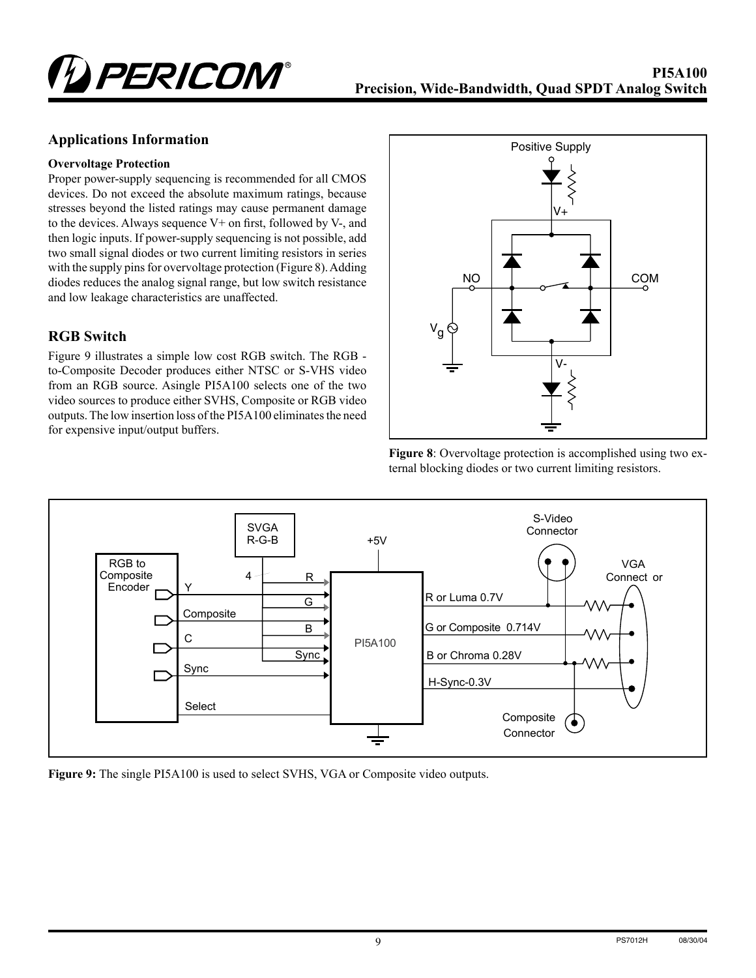

#### **Applications Information**

#### **Overvoltage Protection**

Proper power-supply sequencing is recommended for all CMOS devices. Do not exceed the absolute maximum ratings, because stresses beyond the listed ratings may cause permanent damage to the devices. Always sequence V+ on first, followed by V-, and then logic inputs. If power-supply sequencing is not possible, add two small signal diodes or two current limiting resistors in series with the supply pins for overvoltage protection (Figure 8). Adding diodes reduces the analog signal range, but low switch resistance and low leakage characteristics are unaffected.

#### **RGB Switch**

Figure 9 illustrates a simple low cost RGB switch. The RGB to-Composite Decoder produces either NTSC or S-VHS video from an RGB source. Asingle PI5A100 selects one of the two video sources to produce either SVHS, Composite or RGB video outputs. The low insertion loss of the PI5A100 eliminates the need for expensive input/output buffers.







**Figure 9:** The single PI5A100 is used to select SVHS, VGA or Composite video outputs.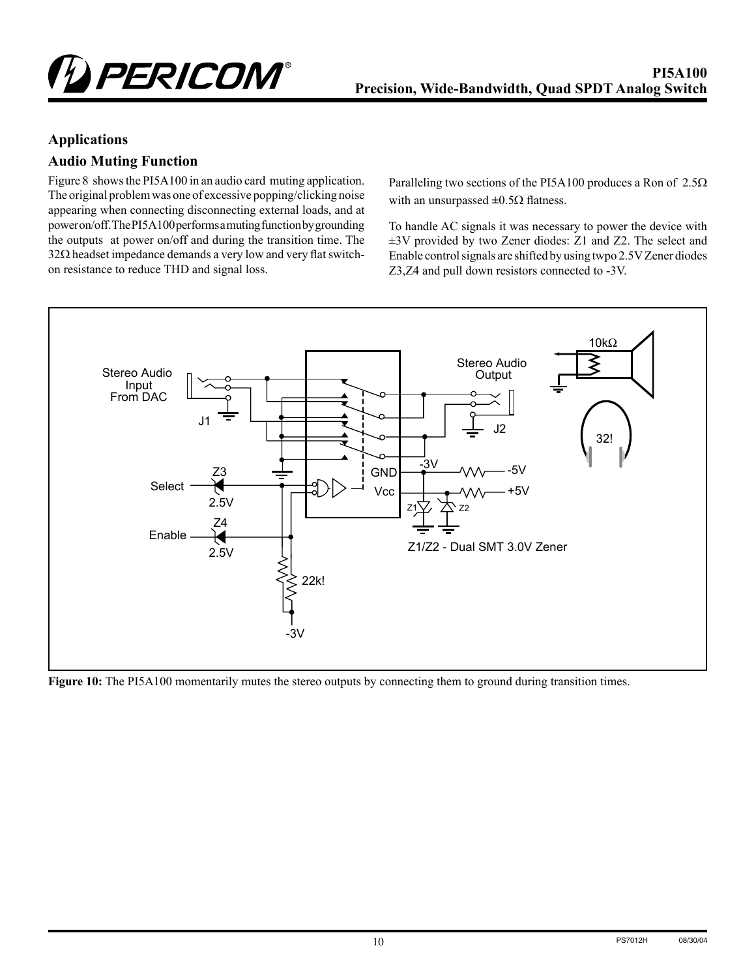

### **Applications**

## **Audio Muting Function**

Figure 8 shows the PI5A100 in an audio card muting application. The original problem was one of excessive popping/clicking noise appearing when connecting disconnecting external loads, and at power on/off. The PI5A100 performs a muting function by grounding the outputs at power on/off and during the transition time. The 32Ω headset impedance demands a very low and very flat switchon resistance to reduce THD and signal loss.

Paralleling two sections of the PI5A100 produces a Ron of 2.5Ω with an unsurpassed **±**0.5Ω flatness.

To handle AC signals it was necessary to power the device with ±3V provided by two Zener diodes: Z1 and Z2. The select and Enable control signals are shifted by using twpo 2.5V Zener diodes Z3,Z4 and pull down resistors connected to -3V.



**Figure 10:** The PI5A100 momentarily mutes the stereo outputs by connecting them to ground during transition times.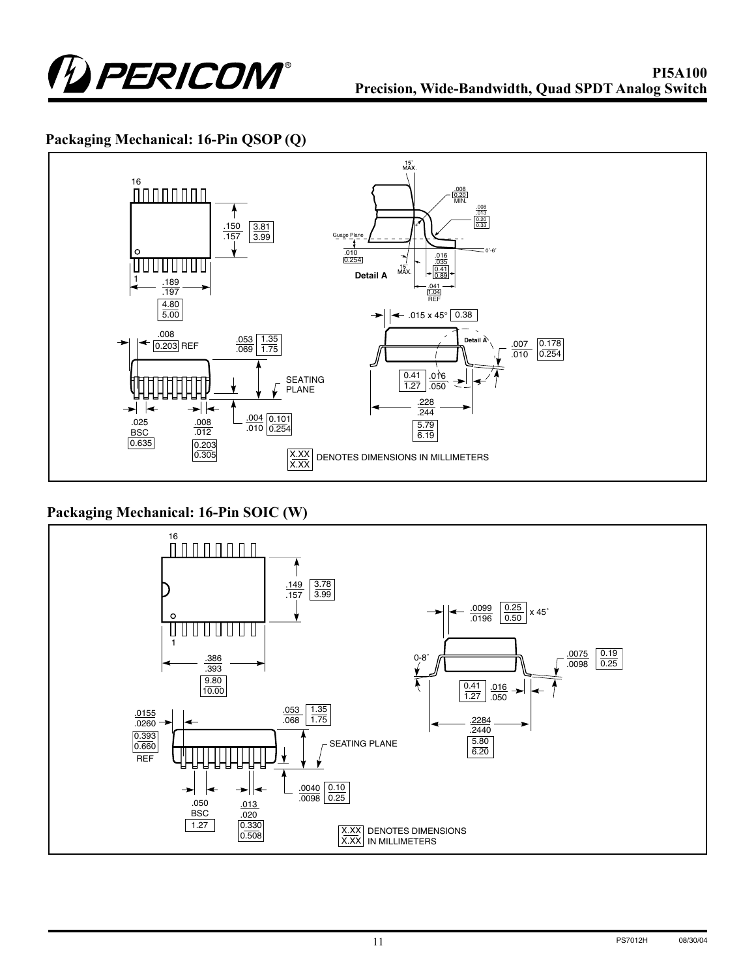

# **Packaging Mechanical: 16-Pin QSOP (Q)**



# **Packaging Mechanical: 16-Pin SOIC (W)**